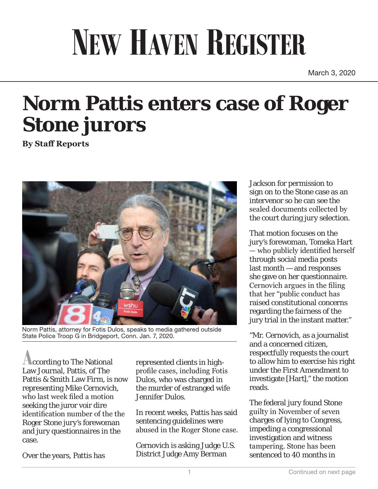## **NEW HAVEN REGISTER**

March 3, 2020

## **Norm Pattis enters case of Roger Stone jurors**

**By Staff Reports**



Norm Pattis, attorney for Fotis Dulos, speaks to media gathered outside State Police Troop G in Bridgeport, Conn. Jan. 7, 2020.

**A**ccording to The National Law Journal, Pattis, of The Pattis & Smith Law Firm, is now representing Mike Cernovich, who last week filed a motion seeking the juror voir dire identification number of the the Roger Stone jury's forewoman and jury questionnaires in the case.

Over the years, Pattis has

represented clients in highprofile cases, including Fotis Dulos, who was charged in the murder of estranged wife Jennifer Dulos.

In recent weeks, Pattis has said sentencing guidelines were abused in the Roger Stone case.

Cernovich is asking Judge U.S. District Judge Amy Berman

Jackson for permission to sign on to the Stone case as an intervenor so he can see the sealed documents collected by the court during jury selection.

That motion focuses on the jury's forewoman, Tomeka Hart — who publicly identified herself through social media posts last month — and responses she gave on her questionnaire. Cernovich argues in the filing that her "public conduct has raised constitutional concerns regarding the fairness of the jury trial in the instant matter."

"Mr. Cernovich, as a journalist and a concerned citizen, respectfully requests the court to allow him to exercise his right under the First Amendment to investigate [Hart]," the motion reads.

The federal jury found Stone guilty in November of seven charges of lying to Congress, impeding a congressional investigation and witness tampering. Stone has been sentenced to 40 months in